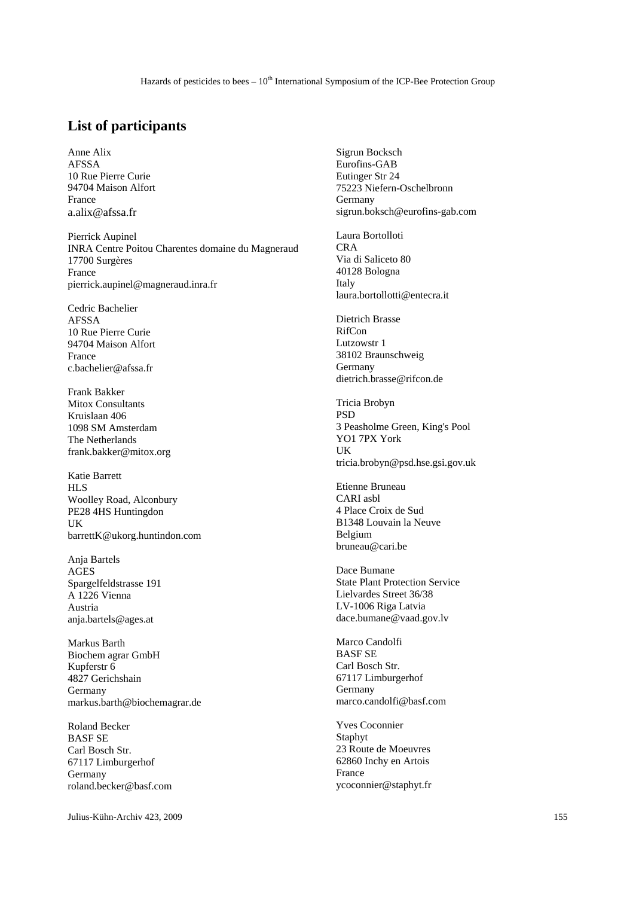## **List of participants**

Anne Alix AFSSA 10 Rue Pierre Curie 94704 Maison Alfort France a.alix@afssa.fr

Pierrick Aupinel INRA Centre Poitou Charentes domaine du Magneraud 17700 Surgères France pierrick.aupinel@magneraud.inra.fr

Cedric Bachelier AFSSA 10 Rue Pierre Curie 94704 Maison Alfort France c.bachelier@afssa.fr

Frank Bakker Mitox Consultants Kruislaan 406 1098 SM Amsterdam The Netherlands frank.bakker@mitox.org

Katie Barrett HLS Woolley Road, Alconbury PE28 4HS Huntingdon UK barrettK@ukorg.huntindon.com

Anja Bartels AGES Spargelfeldstrasse 191 A 1226 Vienna Austria anja.bartels@ages.at

Markus Barth Biochem agrar GmbH Kupferstr 6 4827 Gerichshain Germany markus.barth@biochemagrar.de

Roland Becker BASF SE Carl Bosch Str. 67117 Limburgerhof Germany roland.becker@basf.com

Julius-Kühn-Archiv 423, 2009 155

Sigrun Bocksch Eurofins-GAB Eutinger Str 24 75223 Niefern-Oschelbronn Germany sigrun.boksch@eurofins-gab.com

Laura Bortolloti CRA Via di Saliceto 80 40128 Bologna Italy laura.bortollotti@entecra.it

Dietrich Brasse RifCon Lutzowstr 1 38102 Braunschweig Germany dietrich.brasse@rifcon.de

Tricia Brobyn PSD 3 Peasholme Green, King's Pool YO1 7PX York UK tricia.brobyn@psd.hse.gsi.gov.uk

Etienne Bruneau CARI asbl 4 Place Croix de Sud B1348 Louvain la Neuve Belgium bruneau@cari.be

Dace Bumane State Plant Protection Service Lielvardes Street 36/38 LV-1006 Riga Latvia dace.bumane@vaad.gov.lv

Marco Candolfi BASF SE Carl Bosch Str. 67117 Limburgerhof Germany marco.candolfi@basf.com

Yves Coconnier Staphyt 23 Route de Moeuvres 62860 Inchy en Artois France ycoconnier@staphyt.fr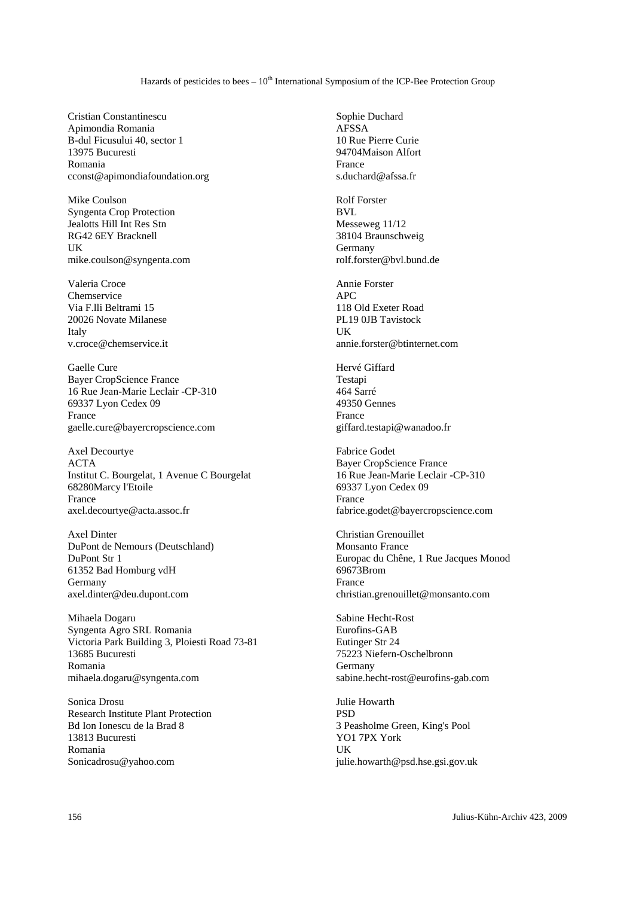Hazards of pesticides to bees  $-10<sup>th</sup>$  International Symposium of the ICP-Bee Protection Group

Cristian Constantinescu Apimondia Romania B-dul Ficusului 40, sector 1 13975 Bucuresti Romania cconst@apimondiafoundation.org

Mike Coulson Syngenta Crop Protection Jealotts Hill Int Res Stn RG42 6EY Bracknell UK mike.coulson@syngenta.com

Valeria Croce Chemservice Via F.lli Beltrami 15 20026 Novate Milanese Italy v.croce@chemservice.it

Gaelle Cure Bayer CropScience France 16 Rue Jean-Marie Leclair -CP-310 69337 Lyon Cedex 09 France gaelle.cure@bayercropscience.com

Axel Decourtye ACTA Institut C. Bourgelat, 1 Avenue C Bourgelat 68280Marcy l'Etoile France axel.decourtye@acta.assoc.fr

Axel Dinter DuPont de Nemours (Deutschland) DuPont Str 1 61352 Bad Homburg vdH Germany axel.dinter@deu.dupont.com

Mihaela Dogaru Syngenta Agro SRL Romania Victoria Park Building 3, Ploiesti Road 73-81 13685 Bucuresti Romania mihaela.dogaru@syngenta.com

Sonica Drosu Research Institute Plant Protection Bd Ion Ionescu de la Brad 8 13813 Bucuresti Romania Sonicadrosu@yahoo.com

Sophie Duchard AFSSA 10 Rue Pierre Curie 94704Maison Alfort France s.duchard@afssa.fr

Rolf Forster BVL Messeweg 11/12 38104 Braunschweig Germany rolf.forster@bvl.bund.de

Annie Forster APC 118 Old Exeter Road PL19 0JB Tavistock UK annie.forster@btinternet.com

Hervé Giffard Testapi 464 Sarré 49350 Gennes France giffard.testapi@wanadoo.fr

Fabrice Godet Bayer CropScience France 16 Rue Jean-Marie Leclair -CP-310 69337 Lyon Cedex 09 France fabrice.godet@bayercropscience.com

Christian Grenouillet Monsanto France Europac du Chêne, 1 Rue Jacques Monod 69673Brom France christian.grenouillet@monsanto.com

Sabine Hecht-Rost Eurofins-GAB Eutinger Str 24 75223 Niefern-Oschelbronn Germany sabine.hecht-rost@eurofins-gab.com

Julie Howarth **PSD** 3 Peasholme Green, King's Pool YO1 7PX York UK julie.howarth@psd.hse.gsi.gov.uk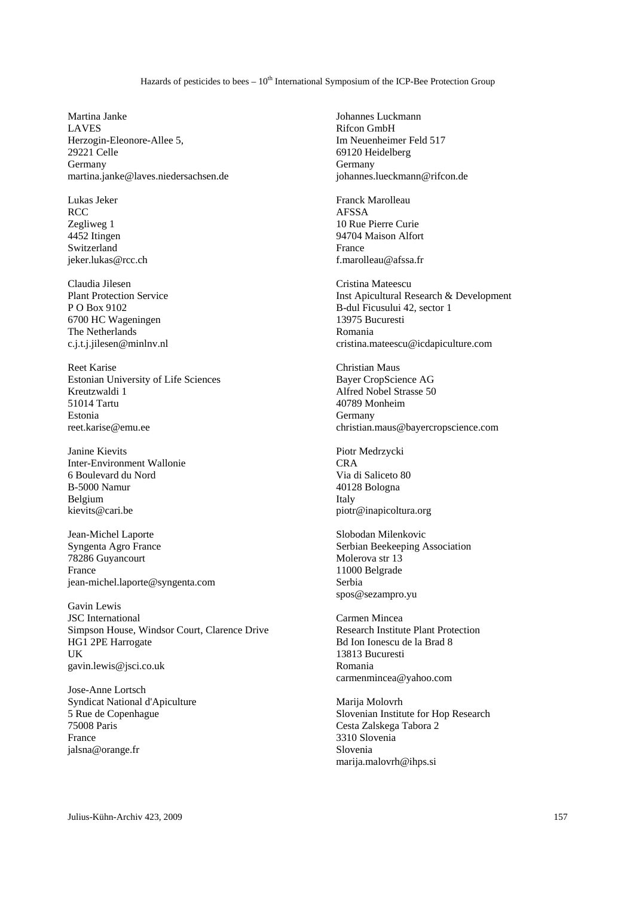## Hazards of pesticides to bees  $-10<sup>th</sup>$  International Symposium of the ICP-Bee Protection Group

Martina Janke LAVES Herzogin-Eleonore-Allee 5, 29221 Celle Germany martina.janke@laves.niedersachsen.de

Lukas Jeker **RCC** Zegliweg 1 4452 Itingen Switzerland jeker.lukas@rcc.ch

Claudia Jilesen Plant Protection Service P O Box 9102 6700 HC Wageningen The Netherlands c.j.t.j.jilesen@minlnv.nl

Reet Karise Estonian University of Life Sciences Kreutzwaldi 1 51014 Tartu Estonia reet.karise@emu.ee

Janine Kievits Inter-Environment Wallonie 6 Boulevard du Nord B-5000 Namur Belgium kievits@cari.be

Jean-Michel Laporte Syngenta Agro France 78286 Guyancourt France jean-michel.laporte@syngenta.com

Gavin Lewis JSC International Simpson House, Windsor Court, Clarence Drive HG1 2PE Harrogate UK gavin.lewis@jsci.co.uk

Jose-Anne Lortsch Syndicat National d'Apiculture 5 Rue de Copenhague 75008 Paris France jalsna@orange.fr

Johannes Luckmann Rifcon GmbH Im Neuenheimer Feld 517 69120 Heidelberg Germany johannes.lueckmann@rifcon.de

Franck Marolleau AFSSA 10 Rue Pierre Curie 94704 Maison Alfort France f.marolleau@afssa.fr

Cristina Mateescu Inst Apicultural Research & Development B-dul Ficusului 42, sector 1 13975 Bucuresti Romania cristina.mateescu@icdapiculture.com

Christian Maus Bayer CropScience AG Alfred Nobel Strasse 50 40789 Monheim Germany christian.maus@bayercropscience.com

Piotr Medrzycki CRA Via di Saliceto 80 40128 Bologna Italy piotr@inapicoltura.org

Slobodan Milenkovic Serbian Beekeeping Association Molerova str 13 11000 Belgrade Serbia spos@sezampro.yu

Carmen Mincea Research Institute Plant Protection Bd Ion Ionescu de la Brad 8 13813 Bucuresti Romania carmenmincea@yahoo.com

Marija Molovrh Slovenian Institute for Hop Research Cesta Zalskega Tabora 2 3310 Slovenia Slovenia marija.malovrh@ihps.si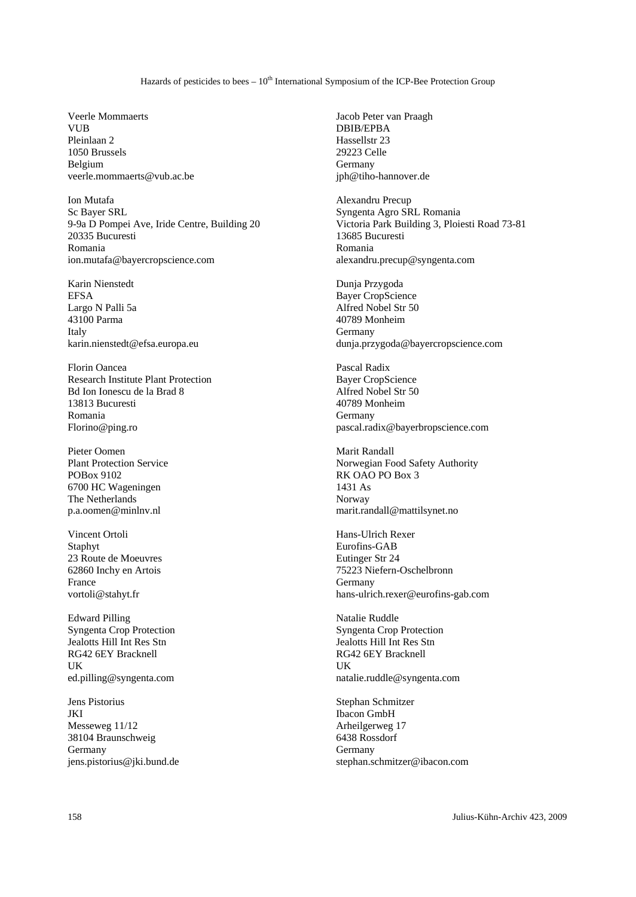## Hazards of pesticides to bees  $-10<sup>th</sup>$  International Symposium of the ICP-Bee Protection Group

Veerle Mommaerts VUR<sup>1</sup> Pleinlaan 2 1050 Brussels Belgium veerle.mommaerts@vub.ac.be

Ion Mutafa Sc Bayer SRL 9-9a D Pompei Ave, Iride Centre, Building 20 20335 Bucuresti Romania ion.mutafa@bayercropscience.com

Karin Nienstedt EFSA Largo N Palli 5a 43100 Parma Italy karin.nienstedt@efsa.europa.eu

Florin Oancea Research Institute Plant Protection Bd Ion Ionescu de la Brad 8 13813 Bucuresti Romania Florino@ping.ro

Pieter Oomen Plant Protection Service POBox 9102 6700 HC Wageningen The Netherlands p.a.oomen@minlnv.nl

Vincent Ortoli Staphyt 23 Route de Moeuvres 62860 Inchy en Artois France vortoli@stahyt.fr

Edward Pilling Syngenta Crop Protection Jealotts Hill Int Res Stn RG42 6EY Bracknell UK ed.pilling@syngenta.com

Jens Pistorius JKI Messeweg 11/12 38104 Braunschweig Germany jens.pistorius@jki.bund.de Jacob Peter van Praagh DBIB/EPBA Hassellstr 23 29223 Celle Germany jph@tiho-hannover.de

Alexandru Precup Syngenta Agro SRL Romania Victoria Park Building 3, Ploiesti Road 73-81 13685 Bucuresti Romania alexandru.precup@syngenta.com

Dunja Przygoda Bayer CropScience Alfred Nobel Str 50 40789 Monheim Germany dunja.przygoda@bayercropscience.com

Pascal Radix Bayer CropScience Alfred Nobel Str 50 40789 Monheim Germany pascal.radix@bayerbropscience.com

Marit Randall Norwegian Food Safety Authority RK OAO PO Box 3 1431 As Norway marit.randall@mattilsynet.no

Hans-Ulrich Rexer Eurofins-GAB Eutinger Str 24 75223 Niefern-Oschelbronn Germany hans-ulrich.rexer@eurofins-gab.com

Natalie Ruddle Syngenta Crop Protection Jealotts Hill Int Res Stn RG42 6EY Bracknell UK natalie.ruddle@syngenta.com

Stephan Schmitzer Ibacon GmbH Arheilgerweg 17 6438 Rossdorf Germany stephan.schmitzer@ibacon.com